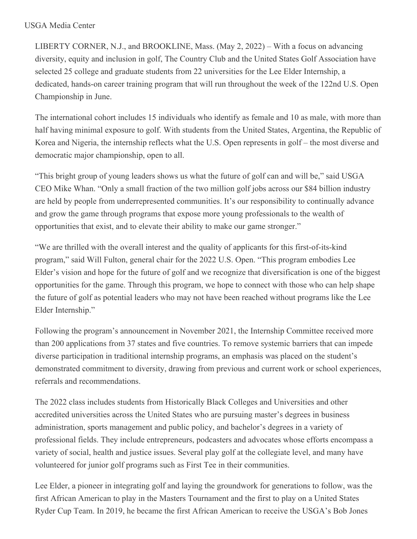## USGA Media Center

LIBERTY CORNER, N.J., and BROOKLINE, Mass. (May 2, 2022) – With a focus on advancing diversity, equity and inclusion in golf, The Country Club and the United States Golf Association have selected 25 college and graduate students from 22 universities for the Lee Elder Internship, a dedicated, hands-on career training program that will run throughout the week of the 122nd U.S. Open Championship in June.

The international cohort includes 15 individuals who identify as female and 10 as male, with more than half having minimal exposure to golf. With students from the United States, Argentina, the Republic of Korea and Nigeria, the internship reflects what the U.S. Open represents in golf – the most diverse and democratic major championship, open to all.

"This bright group of young leaders shows us what the future of golf can and will be," said USGA CEO Mike Whan. "Only a small fraction of the two million golf jobs across our \$84 billion industry are held by people from underrepresented communities. It's our responsibility to continually advance and grow the game through programs that expose more young professionals to the wealth of opportunities that exist, and to elevate their ability to make our game stronger."

"We are thrilled with the overall interest and the quality of applicants for this first-of-its-kind program," said Will Fulton, general chair for the 2022 U.S. Open. "This program embodies Lee Elder's vision and hope for the future of golf and we recognize that diversification is one of the biggest opportunities for the game. Through this program, we hope to connect with those who can help shape the future of golf as potential leaders who may not have been reached without programs like the Lee Elder Internship."

Following the program's announcement in November 2021, the Internship Committee received more than 200 applications from 37 states and five countries. To remove systemic barriers that can impede diverse participation in traditional internship programs, an emphasis was placed on the student's demonstrated commitment to diversity, drawing from previous and current work or school experiences, referrals and recommendations.

The 2022 class includes students from Historically Black Colleges and Universities and other accredited universities across the United States who are pursuing master's degrees in business administration, sports management and public policy, and bachelor's degrees in a variety of professional fields. They include entrepreneurs, podcasters and advocates whose efforts encompass a variety of social, health and justice issues. Several play golf at the collegiate level, and many have volunteered for junior golf programs such as First Tee in their communities.

Lee Elder, a pioneer in integrating golf and laying the groundwork for generations to follow, was the first African American to play in the Masters Tournament and the first to play on a United States Ryder Cup Team. In 2019, he became the first African American to receive the USGA's Bob Jones